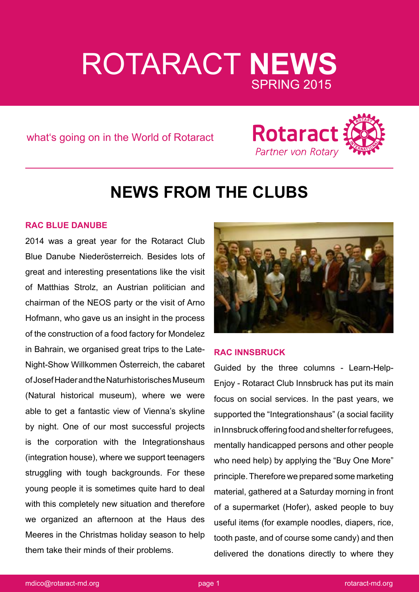# ROTARACT **NEWS** SPRING 2015

what's going on in the World of Rotaract



# **NEWS FROM THE CLUBS**

# **RAC BLUE DANUBE**

2014 was a great year for the Rotaract Club Blue Danube Niederösterreich. Besides lots of great and interesting presentations like the visit of Matthias Strolz, an Austrian politician and chairman of the NEOS party or the visit of Arno Hofmann, who gave us an insight in the process of the construction of a food factory for Mondelez in Bahrain, we organised great trips to the Late-Night-Show Willkommen Österreich, the cabaret of Josef Hader and the Naturhistorisches Museum (Natural historical museum), where we were able to get a fantastic view of Vienna's skyline by night. One of our most successful projects is the corporation with the Integrationshaus (integration house), where we support teenagers struggling with tough backgrounds. For these young people it is sometimes quite hard to deal with this completely new situation and therefore we organized an afternoon at the Haus des Meeres in the Christmas holiday season to help them take their minds of their problems.



# **RAC INNSBRUCK**

Guided by the three columns - Learn-Help-Enjoy - Rotaract Club Innsbruck has put its main focus on social services. In the past years, we supported the "Integrationshaus" (a social facility in Innsbruck offering food and shelter for refugees, mentally handicapped persons and other people who need help) by applying the "Buy One More" principle. Therefore we prepared some marketing material, gathered at a Saturday morning in front of a supermarket (Hofer), asked people to buy useful items (for example noodles, diapers, rice, tooth paste, and of course some candy) and then delivered the donations directly to where they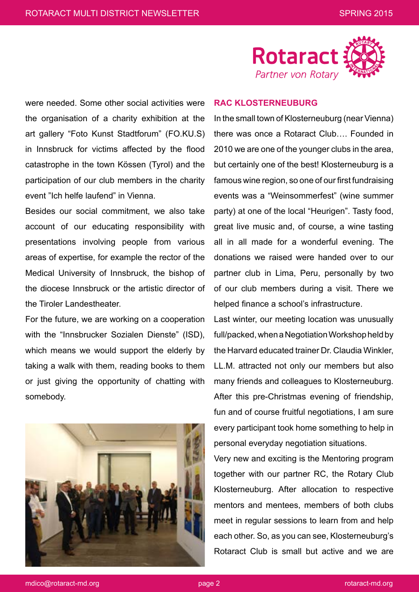

were needed. Some other social activities were the organisation of a charity exhibition at the art gallery "Foto Kunst Stadtforum" (FO.KU.S) in Innsbruck for victims affected by the flood catastrophe in the town Kössen (Tyrol) and the participation of our club members in the charity event "Ich helfe laufend" in Vienna.

Besides our social commitment, we also take account of our educating responsibility with presentations involving people from various areas of expertise, for example the rector of the Medical University of Innsbruck, the bishop of the diocese Innsbruck or the artistic director of the Tiroler Landestheater.

For the future, we are working on a cooperation with the "Innsbrucker Sozialen Dienste" (ISD), which means we would support the elderly by taking a walk with them, reading books to them or just giving the opportunity of chatting with somebody.



#### **RAC KLOSTERNEUBURG**

In the small town of Klosterneuburg (near Vienna) there was once a Rotaract Club…. Founded in 2010 we are one of the younger clubs in the area, but certainly one of the best! Klosterneuburg is a famous wine region, so one of our first fundraising events was a "Weinsommerfest" (wine summer party) at one of the local "Heurigen". Tasty food, great live music and, of course, a wine tasting all in all made for a wonderful evening. The donations we raised were handed over to our partner club in Lima, Peru, personally by two of our club members during a visit. There we helped finance a school's infrastructure.

Last winter, our meeting location was unusually full/packed, when a Negotiation Workshop held by the Harvard educated trainer Dr. Claudia Winkler, LL.M. attracted not only our members but also many friends and colleagues to Klosterneuburg. After this pre-Christmas evening of friendship, fun and of course fruitful negotiations, I am sure every participant took home something to help in personal everyday negotiation situations.

Very new and exciting is the Mentoring program together with our partner RC, the Rotary Club Klosterneuburg. After allocation to respective mentors and mentees, members of both clubs meet in regular sessions to learn from and help each other. So, as you can see, Klosterneuburg's Rotaract Club is small but active and we are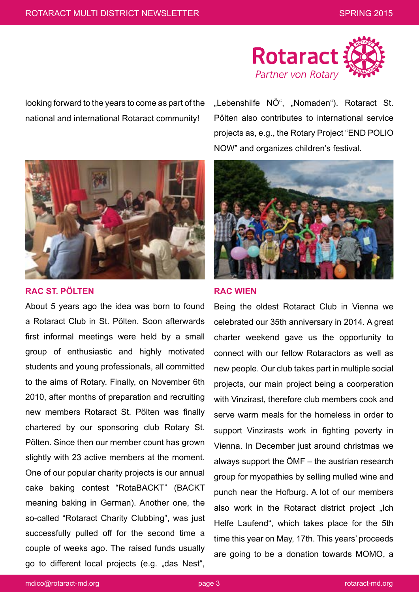

looking forward to the years to come as part of the national and international Rotaract community!



### **RAC ST. PÖLTEN**

About 5 years ago the idea was born to found a Rotaract Club in St. Pölten. Soon afterwards first informal meetings were held by a small group of enthusiastic and highly motivated students and young professionals, all committed to the aims of Rotary. Finally, on November 6th 2010, after months of preparation and recruiting new members Rotaract St. Pölten was finally chartered by our sponsoring club Rotary St. Pölten. Since then our member count has grown slightly with 23 active members at the moment. One of our popular charity projects is our annual cake baking contest "RotaBACKT" (BACKT meaning baking in German). Another one, the so-called "Rotaract Charity Clubbing", was just successfully pulled off for the second time a couple of weeks ago. The raised funds usually go to different local projects (e.g. "das Nest",

"Lebenshilfe NÖ", "Nomaden"). Rotaract St. Pölten also contributes to international service projects as, e.g., the Rotary Project "END POLIO NOW" and organizes children's festival.



#### **RAC WIEN**

Being the oldest Rotaract Club in Vienna we celebrated our 35th anniversary in 2014. A great charter weekend gave us the opportunity to connect with our fellow Rotaractors as well as new people. Our club takes part in multiple social projects, our main project being a coorperation with Vinzirast, therefore club members cook and serve warm meals for the homeless in order to support Vinzirasts work in fighting poverty in Vienna. In December just around christmas we always support the ÖMF – the austrian research group for myopathies by selling mulled wine and punch near the Hofburg. A lot of our members also work in the Rotaract district project "Ich Helfe Laufend", which takes place for the 5th time this year on May, 17th. This years' proceeds are going to be a donation towards MOMO, a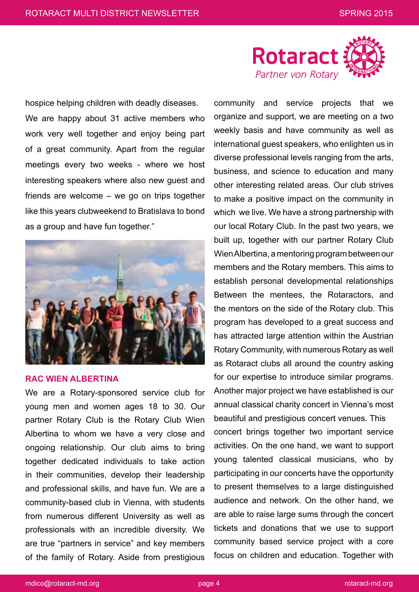

hospice helping children with deadly diseases. We are happy about 31 active members who work very well together and enjoy being part of a great community. Apart from the regular meetings every two weeks - where we host interesting speakers where also new guest and friends are welcome – we go on trips together like this years clubweekend to Bratislava to bond as a group and have fun together."



#### **RAC WIEN ALBERTINA**

We are a Rotary-sponsored service club for young men and women ages 18 to 30. Our partner Rotary Club is the Rotary Club Wien Albertina to whom we have a very close and ongoing relationship. Our club aims to bring together dedicated individuals to take action in their communities, develop their leadership and professional skills, and have fun. We are a community-based club in Vienna, with students from numerous different University as well as professionals with an incredible diversity. We are true "partners in service" and key members of the family of Rotary. Aside from prestigious

community and service projects that we organize and support, we are meeting on a two weekly basis and have community as well as international guest speakers, who enlighten us in diverse professional levels ranging from the arts, business, and science to education and many other interesting related areas. Our club strives to make a positive impact on the community in which we live. We have a strong partnership with our local Rotary Club. In the past two years, we built up, together with our partner Rotary Club Wien Albertina, a mentoring program between our members and the Rotary members. This aims to establish personal developmental relationships Between the mentees, the Rotaractors, and the mentors on the side of the Rotary club. This program has developed to a great success and has attracted large attention within the Austrian Rotary Community, with numerous Rotary as well as Rotaract clubs all around the country asking for our expertise to introduce similar programs. Another major project we have established is our annual classical charity concert in Vienna's most beautiful and prestigious concert venues. This concert brings together two important service activities. On the one hand, we want to support young talented classical musicians, who by participating in our concerts have the opportunity to present themselves to a large distinguished audience and network. On the other hand, we are able to raise large sums through the concert tickets and donations that we use to support community based service project with a core focus on children and education. Together with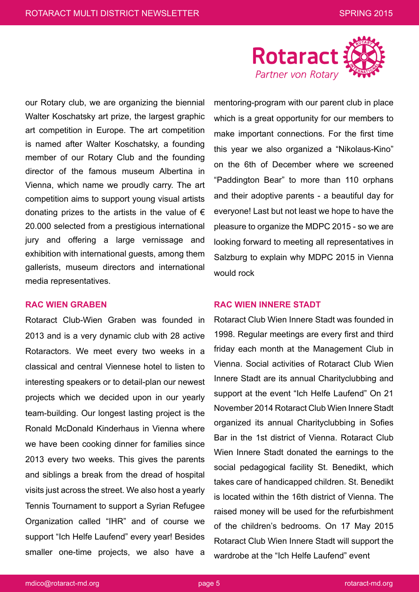

our Rotary club, we are organizing the biennial Walter Koschatsky art prize, the largest graphic art competition in Europe. The art competition is named after Walter Koschatsky, a founding member of our Rotary Club and the founding director of the famous museum Albertina in Vienna, which name we proudly carry. The art competition aims to support young visual artists donating prizes to the artists in the value of  $\epsilon$ 20.000 selected from a prestigious international jury and offering a large vernissage and exhibition with international guests, among them gallerists, museum directors and international media representatives.

# **RAC WIEN GRABEN**

Rotaract Club-Wien Graben was founded in 2013 and is a very dynamic club with 28 active Rotaractors. We meet every two weeks in a classical and central Viennese hotel to listen to interesting speakers or to detail-plan our newest projects which we decided upon in our yearly team-building. Our longest lasting project is the Ronald McDonald Kinderhaus in Vienna where we have been cooking dinner for families since 2013 every two weeks. This gives the parents and siblings a break from the dread of hospital visits just across the street. We also host a yearly Tennis Tournament to support a Syrian Refugee Organization called "IHR" and of course we support "Ich Helfe Laufend" every year! Besides smaller one-time projects, we also have a

mentoring-program with our parent club in place which is a great opportunity for our members to make important connections. For the first time this year we also organized a "Nikolaus-Kino" on the 6th of December where we screened "Paddington Bear" to more than 110 orphans and their adoptive parents - a beautiful day for everyone! Last but not least we hope to have the pleasure to organize the MDPC 2015 - so we are looking forward to meeting all representatives in Salzburg to explain why MDPC 2015 in Vienna would rock

# **RAC WIEN INNERE STADT**

Rotaract Club Wien Innere Stadt was founded in 1998. Regular meetings are every first and third friday each month at the Management Club in Vienna. Social activities of Rotaract Club Wien Innere Stadt are its annual Charityclubbing and support at the event "Ich Helfe Laufend" On 21 November 2014 Rotaract Club Wien Innere Stadt organized its annual Charityclubbing in Sofies Bar in the 1st district of Vienna. Rotaract Club Wien Innere Stadt donated the earnings to the social pedagogical facility St. Benedikt, which takes care of handicapped children. St. Benedikt is located within the 16th district of Vienna. The raised money will be used for the refurbishment of the children's bedrooms. On 17 May 2015 Rotaract Club Wien Innere Stadt will support the wardrobe at the "Ich Helfe Laufend" event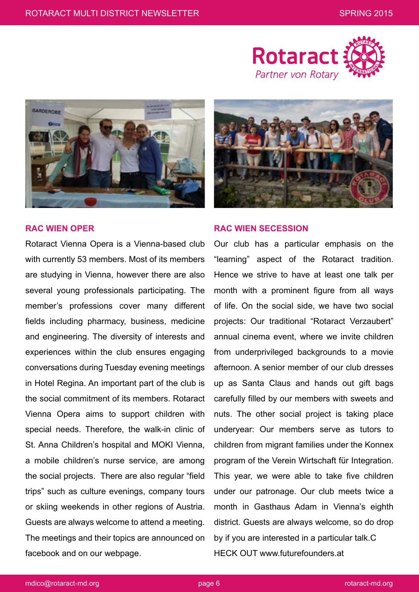



# **RAC WIEN OPER**

Rotaract Vienna Opera is a Vienna-based club with currently 53 members. Most of its members are studying in Vienna, however there are also several young professionals participating. The member's professions cover many different fields including pharmacy, business, medicine and engineering. The diversity of interests and experiences within the club ensures engaging conversations during Tuesday evening meetings in Hotel Regina. An important part of the club is the social commitment of its members. Rotaract Vienna Opera aims to support children with special needs. Therefore, the walk-in clinic of St. Anna Children's hospital and MOKI Vienna, a mobile children's nurse service, are among the social projects. There are also regular "field trips" such as culture evenings, company tours or skiing weekends in other regions of Austria. Guests are always welcome to attend a meeting. The meetings and their topics are announced on facebook and on our webpage.



#### **RAC WIEN SECESSION**

Our club has a particular emphasis on the "learning" aspect of the Rotaract tradition. Hence we strive to have at least one talk per month with a prominent figure from all ways of life. On the social side, we have two social projects: Our traditional "Rotaract Verzaubert" annual cinema event, where we invite children from underprivileged backgrounds to a movie afternoon. A senior member of our club dresses up as Santa Claus and hands out gift bags carefully filled by our members with sweets and nuts. The other social project is taking place underyear: Our members serve as tutors to children from migrant families under the Konnex program of the Verein Wirtschaft für Integration. This year, we were able to take five children under our patronage. Our club meets twice a month in Gasthaus Adam in Vienna's eighth district. Guests are always welcome, so do drop by if you are interested in a particular talk.C HECK OUT www.futurefounders.at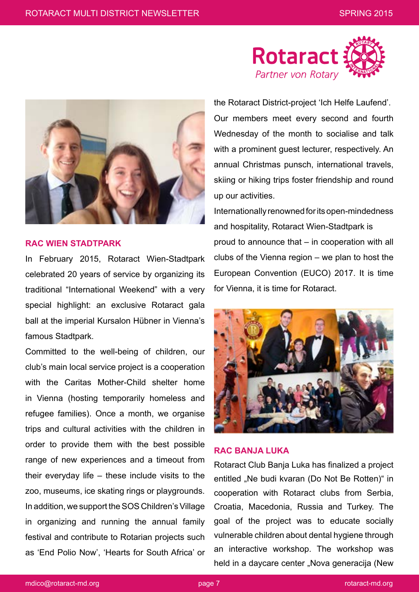

#### **RAC WIEN STADTPARK**

In February 2015, Rotaract Wien-Stadtpark celebrated 20 years of service by organizing its traditional "International Weekend" with a very special highlight: an exclusive Rotaract gala ball at the imperial Kursalon Hübner in Vienna's famous Stadtpark.

Committed to the well-being of children, our club's main local service project is a cooperation with the Caritas Mother-Child shelter home in Vienna (hosting temporarily homeless and refugee families). Once a month, we organise trips and cultural activities with the children in order to provide them with the best possible range of new experiences and a timeout from their everyday life – these include visits to the zoo, museums, ice skating rings or playgrounds. In addition, we support the SOS Children's Village in organizing and running the annual family festival and contribute to Rotarian projects such as 'End Polio Now', 'Hearts for South Africa' or



the Rotaract District-project 'Ich Helfe Laufend'. Our members meet every second and fourth Wednesday of the month to socialise and talk with a prominent guest lecturer, respectively. An annual Christmas punsch, international travels, skiing or hiking trips foster friendship and round up our activities.

Internationally renowned for its open-mindedness and hospitality, Rotaract Wien-Stadtpark is proud to announce that – in cooperation with all clubs of the Vienna region – we plan to host the European Convention (EUCO) 2017. It is time for Vienna, it is time for Rotaract.



# **RAC BANJA LUKA**

Rotaract Club Banja Luka has finalized a project entitled "Ne budi kvaran (Do Not Be Rotten)" in cooperation with Rotaract clubs from Serbia, Croatia, Macedonia, Russia and Turkey. The goal of the project was to educate socially vulnerable children about dental hygiene through an interactive workshop. The workshop was held in a daycare center "Nova generacija (New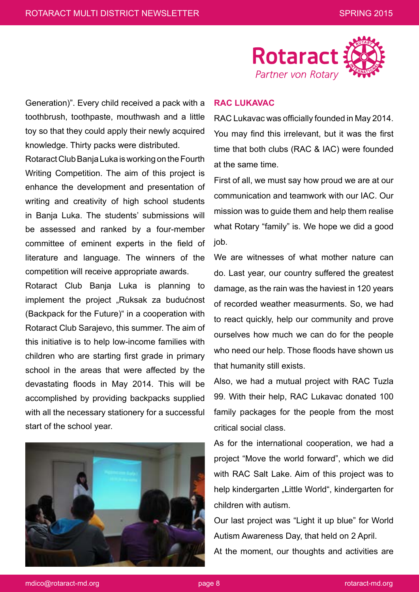

Generation)". Every child received a pack with a toothbrush, toothpaste, mouthwash and a little toy so that they could apply their newly acquired knowledge. Thirty packs were distributed.

Rotaract Club Banja Luka is working on the Fourth Writing Competition. The aim of this project is enhance the development and presentation of writing and creativity of high school students in Banja Luka. The students' submissions will be assessed and ranked by a four-member committee of eminent experts in the field of literature and language. The winners of the competition will receive appropriate awards.

Rotaract Club Banja Luka is planning to implement the project "Ruksak za budućnost (Backpack for the Future)" in a cooperation with Rotaract Club Sarajevo, this summer. The aim of this initiative is to help low-income families with children who are starting first grade in primary school in the areas that were affected by the devastating floods in May 2014. This will be accomplished by providing backpacks supplied with all the necessary stationery for a successful start of the school year.



#### **RAC LUKAVAC**

RAC Lukavac was officially founded in May 2014. You may find this irrelevant, but it was the first time that both clubs (RAC & IAC) were founded at the same time.

First of all, we must say how proud we are at our communication and teamwork with our IAC. Our mission was to guide them and help them realise what Rotary "family" is. We hope we did a good job.

We are witnesses of what mother nature can do. Last year, our country suffered the greatest damage, as the rain was the haviest in 120 years of recorded weather measurments. So, we had to react quickly, help our community and prove ourselves how much we can do for the people who need our help. Those floods have shown us that humanity still exists.

Also, we had a mutual project with RAC Tuzla 99. With their help, RAC Lukavac donated 100 family packages for the people from the most critical social class.

As for the international cooperation, we had a project "Move the world forward", which we did with RAC Salt Lake. Aim of this project was to help kindergarten "Little World", kindergarten for children with autism.

Our last project was "Light it up blue" for World Autism Awareness Day, that held on 2 April.

At the moment, our thoughts and activities are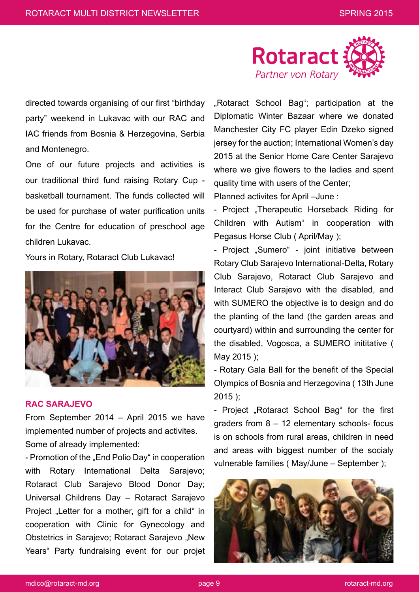

directed towards organising of our first "birthday party" weekend in Lukavac with our RAC and IAC friends from Bosnia & Herzegovina, Serbia and Montenegro.

One of our future projects and activities is our traditional third fund raising Rotary Cup basketball tournament. The funds collected will be used for purchase of water purification units for the Centre for education of preschool age children Lukavac.

Yours in Rotary, Rotaract Club Lukavac!



#### **RAC SARAJEVO**

From September 2014 – April 2015 we have implemented number of projects and activites. Some of already implemented:

- Promotion of the "End Polio Day" in cooperation with Rotary International Delta Sarajevo; Rotaract Club Sarajevo Blood Donor Day; Universal Childrens Day – Rotaract Sarajevo Project "Letter for a mother, gift for a child" in cooperation with Clinic for Gynecology and Obstetrics in Sarajevo; Rotaract Sarajevo "New Years" Party fundraising event for our projet "Rotaract School Bag"; participation at the Diplomatic Winter Bazaar where we donated Manchester City FC player Edin Dzeko signed jersey for the auction; International Women's day 2015 at the Senior Home Care Center Sarajevo where we give flowers to the ladies and spent quality time with users of the Center;

Planned activites for April –June :

- Project "Therapeutic Horseback Riding for Children with Autism" in cooperation with Pegasus Horse Club ( April/May );

- Project "Sumero" - joint initiative between Rotary Club Sarajevo International-Delta, Rotary Club Sarajevo, Rotaract Club Sarajevo and Interact Club Sarajevo with the disabled, and with SUMERO the objective is to design and do the planting of the land (the garden areas and courtyard) within and surrounding the center for the disabled, Vogosca, a SUMERO inititative ( May 2015 );

- Rotary Gala Ball for the benefit of the Special Olympics of Bosnia and Herzegovina ( 13th June 2015 );

- Project "Rotaract School Bag" for the first graders from 8 – 12 elementary schools- focus is on schools from rural areas, children in need and areas with biggest number of the socialy vulnerable families ( May/June – September );

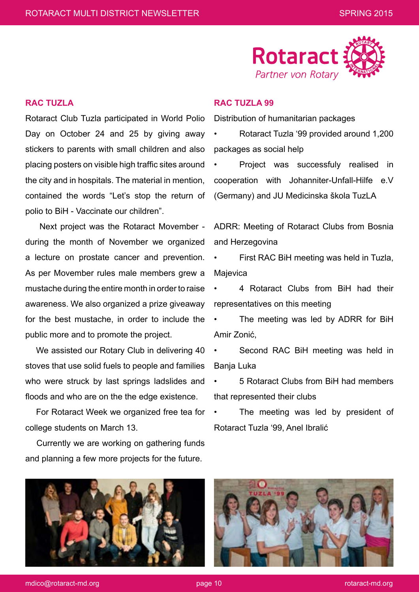

### **RAC TUZLA**

Rotaract Club Tuzla participated in World Polio Day on October 24 and 25 by giving away stickers to parents with small children and also placing posters on visible high traffic sites around the city and in hospitals. The material in mention, contained the words "Let's stop the return of polio to BiH - Vaccinate our children".

 Next project was the Rotaract Movember during the month of November we organized a lecture on prostate cancer and prevention. As per Movember rules male members grew a mustache during the entire month in order to raise awareness. We also organized a prize giveaway for the best mustache, in order to include the public more and to promote the project.

 We assisted our Rotary Club in delivering 40 stoves that use solid fuels to people and families who were struck by last springs ladslides and floods and who are on the the edge existence.

 For Rotaract Week we organized free tea for college students on March 13.

 Currently we are working on gathering funds and planning a few more projects for the future.



Distribution of humanitarian packages

• Rotaract Tuzla '99 provided around 1,200 packages as social help

Project was successfuly realised in cooperation with Johanniter-Unfall-Hilfe e.V (Germany) and JU Medicinska škola TuzLA

ADRR: Meeting of Rotaract Clubs from Bosnia and Herzegovina

• First RAC BiH meeting was held in Tuzla, Majevica

• 4 Rotaract Clubs from BiH had their representatives on this meeting

The meeting was led by ADRR for BiH Amir Zonić,

Second RAC BiH meeting was held in Banja Luka

• 5 Rotaract Clubs from BiH had members that represented their clubs

The meeting was led by president of Rotaract Tuzla '99, Anel Ibralić





mdico@rotaract-md.org page 10 rotaract-md.org page 10 rotaract-md.org page 10 rotaract-md.org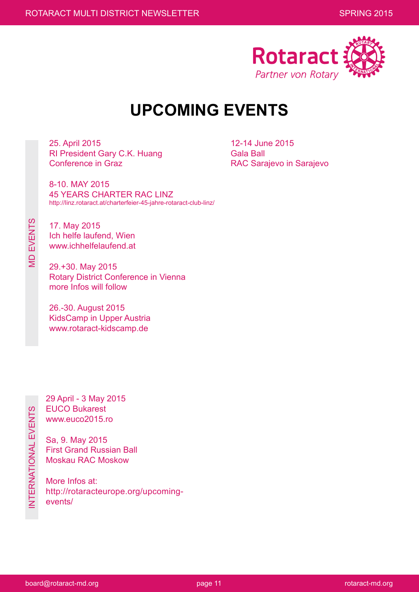

# **UPCOMING EVENTS**

25. April 2015 RI President Gary C.K. Huang Conference in Graz

8-10. MAY 2015

12-14 June 2015 Gala Ball RAC Sarajevo in Sarajevo

45 YEARS CHARTER RAC LINZ http://linz.rotaract.at/charterfeier-45-jahre-rotaract-club-linz/

17. May 2015 Ich helfe laufend, Wien www.ichhelfelaufend.at

MD EVENTS

**MD EVENTS** 

29.+30. May 2015 Rotary District Conference in Vienna more Infos will follow

26.-30. August 2015 KidsCamp in Upper Austria www.rotaract-kidscamp.de

29 April - 3 May 2015 EUCO Bukarest www.euco2015.ro

Sa, 9. May 2015 First Grand Russian Ball Moskau RAC Moskow

More Infos at: http://rotaracteurope.org/upcomingevents/

board@rotaract-md.org enterprise to the page 11 rotaract-md.org page 11 rotaract-md.org